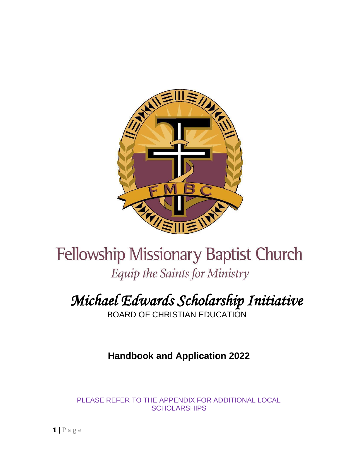

# **Fellowship Missionary Baptist Church** Equip the Saints for Ministry

# *Michael Edwards Scholarship Initiative*

BOARD OF CHRISTIAN EDUCATION

**Handbook and Application 2022**

PLEASE REFER TO THE APPENDIX FOR ADDITIONAL LOCAL **SCHOLARSHIPS**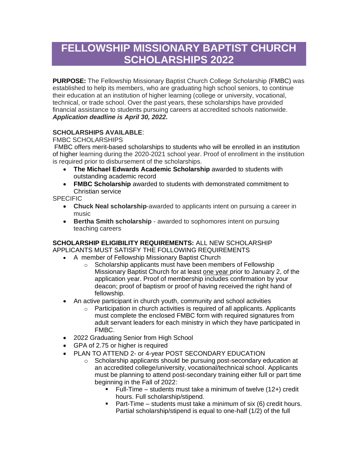# **FELLOWSHIP MISSIONARY BAPTIST CHURCH SCHOLARSHIPS 2022**

**PURPOSE:** The Fellowship Missionary Baptist Church College Scholarship (FMBC) was established to help its members, who are graduating high school seniors, to continue their education at an institution of higher learning (college or university, vocational, technical, or trade school. Over the past years, these scholarships have provided financial assistance to students pursuing careers at accredited schools nationwide. *Application deadline is April 30, 2022.*

### **SCHOLARSHIPS AVAILABLE**:

FMBC SCHOLARSHIPS

FMBC offers merit-based scholarships to students who will be enrolled in an institution of higher learning during the 2020-2021 school year. Proof of enrollment in the institution is required prior to disbursement of the scholarships.

- **The Michael Edwards Academic Scholarship** awarded to students with outstanding academic record
- **FMBC Scholarship** awarded to students with demonstrated commitment to Christian service

SPECIFIC

- **Chuck Neal scholarship**-awarded to applicants intent on pursuing a career in music
- **Bertha Smith scholarship** awarded to sophomores intent on pursuing teaching careers

#### **SCHOLARSHIP ELIGIBILITY REQUIREMENTS:** ALL NEW SCHOLARSHIP APPLICANTS MUST SATISFY THE FOLLOWING REQUIREMENTS

- A member of Fellowship Missionary Baptist Church
	- o Scholarship applicants must have been members of Fellowship Missionary Baptist Church for at least one year prior to January 2, of the application year. Proof of membership includes confirmation by your deacon; proof of baptism or proof of having received the right hand of fellowship.
	- An active participant in church youth, community and school activities
		- o Participation in church activities is required of all applicants. Applicants must complete the enclosed FMBC form with required signatures from adult servant leaders for each ministry in which they have participated in FMBC.
	- 2022 Graduating Senior from High School
	- GPA of 2.75 or higher is required
	- PLAN TO ATTEND 2- or 4-year POST SECONDARY EDUCATION
		- o Scholarship applicants should be pursuing post-secondary education at an accredited college/university, vocational/technical school. Applicants must be planning to attend post-secondary training either full or part time beginning in the Fall of 2022:
			- **EXECT** Full-Time students must take a minimum of twelve  $(12+)$  credit hours. Full scholarship/stipend.
			- **•** Part-Time students must take a minimum of six  $(6)$  credit hours. Partial scholarship/stipend is equal to one-half (1/2) of the full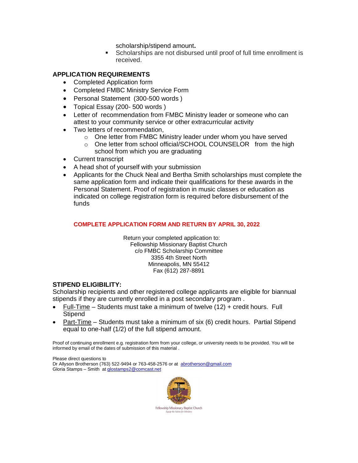scholarship/stipend amount**.** 

■ Scholarships are not disbursed until proof of full time enrollment is received.

#### **APPLICATION REQUIREMENTS**

- Completed Application form
- Completed FMBC Ministry Service Form
- Personal Statement (300-500 words )
- Topical Essay (200- 500 words )
- Letter of recommendation from FMBC Ministry leader or someone who can attest to your community service or other extracurricular activity
- Two letters of recommendation,
	- o One letter from FMBC Ministry leader under whom you have served
	- o One letter from school official/SCHOOL COUNSELOR from the high school from which you are graduating
- Current transcript
- A head shot of yourself with your submission
- Applicants for the Chuck Neal and Bertha Smith scholarships must complete the same application form and indicate their qualifications for these awards in the Personal Statement. Proof of registration in music classes or education as indicated on college registration form is required before disbursement of the funds

#### **COMPLETE APPLICATION FORM AND RETURN BY APRIL 30, 2022**

 Return your completed application to: Fellowship Missionary Baptist Church c/o FMBC Scholarship Committee 3355 4th Street North Minneapolis, MN 55412 Fax (612) 287-8891

#### **STIPEND ELIGIBILITY:**

Scholarship recipients and other registered college applicants are eligible for biannual stipends if they are currently enrolled in a post secondary program .

- Full-Time Students must take a minimum of twelve (12) + credit hours. Full **Stipend**
- Part-Time Students must take a minimum of six (6) credit hours. Partial Stipend equal to one-half (1/2) of the full stipend amount.

Proof of continuing enrollment e.g. registration form from your college, or university needs to be provided. You will be informed by email of the dates of submission of this material .

Please direct questions to Dr Allyson Brotherson (763) 522-9494 or 763-458-2576 or at [abrotherson@gmail.com](mailto:abrotherson@gmail.com) Gloria Stamps – Smith a[t glostamps2@comcast.net](mailto:glostamps2@comcast.net)

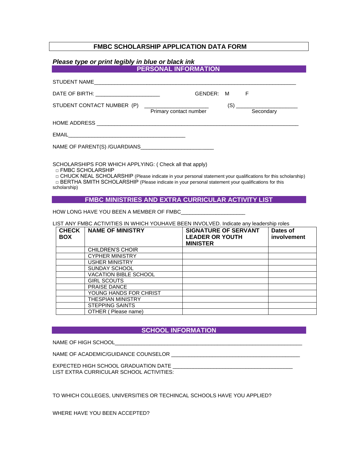#### **FMBC SCHOLARSHIP APPLICATION DATA FORM**

#### *Please type or print legibly in blue or black ink*

| <b>PERSONAL INFORMATION</b>                                                            |  |  |  |  |
|----------------------------------------------------------------------------------------|--|--|--|--|
|                                                                                        |  |  |  |  |
| GENDER: M F<br>DATE OF BIRTH: _________________________                                |  |  |  |  |
| STUDENT CONTACT NUMBER (P) ____________________<br>Secondary<br>Primary contact number |  |  |  |  |
|                                                                                        |  |  |  |  |
|                                                                                        |  |  |  |  |
|                                                                                        |  |  |  |  |
| SCHOLARSHIPS FOR WHICH APPLYING: (Check all that apply)                                |  |  |  |  |

SCHOLARSHIPS FOR WHICH APPLYING: ( Check all that apply)

□ FMBC SCHOLARSHIP

 □ CHUCK NEAL SCHOLARSHIP (Please indicate in your personal statement your qualifications for this scholarship)  $\Box$  BERTHA SMITH SCHOLARSHIP (Please indicate in your personal statement your qualifications for this scholarship)

#### **FMBC MINISTRIES AND EXTRA CURRICULAR ACTIVITY LIST**

HOW LONG HAVE YOU BEEN A MEMBER OF FMBC\_\_\_\_

LIST ANY FMBC ACTIVITIES IN WHICH YOUHAVE BEEN INVOLVED. Indicate any leadership roles

| <b>CHECK</b><br><b>BOX</b> | <b>NAME OF MINISTRY</b>      | <b>SIGNATURE OF SERVANT</b><br><b>LEADER OR YOUTH</b><br><b>MINISTER</b> | Dates of<br>involvement |
|----------------------------|------------------------------|--------------------------------------------------------------------------|-------------------------|
|                            | CHILDREN'S CHOIR             |                                                                          |                         |
|                            | <b>CYPHER MINISTRY</b>       |                                                                          |                         |
|                            | <b>USHER MINISTRY</b>        |                                                                          |                         |
|                            | SUNDAY SCHOOL                |                                                                          |                         |
|                            | <b>VACATION BIBLE SCHOOL</b> |                                                                          |                         |
|                            | <b>GIRL SCOUTS</b>           |                                                                          |                         |
|                            | <b>PRAISE DANCE</b>          |                                                                          |                         |
|                            | YOUNG HANDS FOR CHRIST       |                                                                          |                         |
|                            | <b>THESPIAN MINISTRY</b>     |                                                                          |                         |
|                            | <b>STEPPING SAINTS</b>       |                                                                          |                         |
|                            | OTHER (Please name)          |                                                                          |                         |

#### **SCHOOL INFORMATION**

NAME OF HIGH SCHOOL\_

NAME OF ACADEMIC/GUIDANCE COUNSELOR \_\_\_\_\_\_\_\_\_\_\_\_\_\_\_\_\_\_\_\_\_\_\_\_\_\_\_\_\_\_\_\_\_\_\_\_\_\_\_\_\_\_\_\_

EXPECTED HIGH SCHOOL GRADUATION DATE LIST EXTRA CURRICULAR SCHOOL ACTIVITIES:

TO WHICH COLLEGES, UNIVERSITIES OR TECHINCAL SCHOOLS HAVE YOU APPLIED?

WHERE HAVE YOU BEEN ACCEPTED?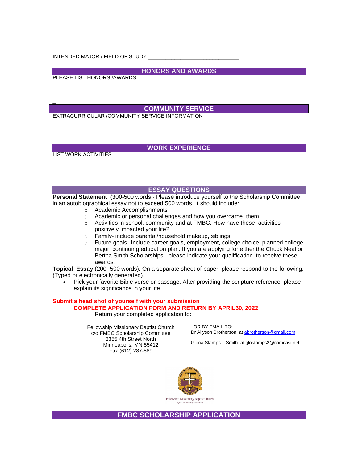INTENDED MAJOR / FIELD OF STUDY

**HONORS AND AWARDS** 

PLEASE LIST HONORS /AWARDS

#### **COMMUNITY SERVICE**

EXTRACURRICULAR /COMMUNITY SERVICE INFORMATION

LIST WORK ACTIVITIES

\_

#### **WORK EXPERIENCE**

#### **ESSAY QUESTIONS**

**Personal Statement** (300-500 words - Please introduce yourself to the Scholarship Committee in an autobiographical essay not to exceed 500 words. It should include:

- o Academic Accomplishments
- o Academic or personal challenges and how you overcame them
- o Activities in school, community and at FMBC. How have these activities positively impacted your life?
- o Family- include parental/household makeup, siblings
- o Future goals--Include career goals, employment, college choice, planned college major, continuing education plan. If you are applying for either the Chuck Neal or Bertha Smith Scholarships , please indicate your qualification to receive these awards.

**Topical Essay** (200- 500 words). On a separate sheet of paper, please respond to the following. (Typed or electronically generated).

• Pick your favorite Bible verse or passage. After providing the scripture reference, please explain its significance in your life.

#### **Submit a head shot of yourself with your submission COMPLETE APPLICATION FORM AND RETURN BY APRIL30, 2022**

Return your completed application to:

| Fellowship Missionary Baptist Church | OR BY EMAIL TO:                                   |  |
|--------------------------------------|---------------------------------------------------|--|
| c/o FMBC Scholarship Committee       | Dr Allyson Brotherson at abrotherson@gmail.com    |  |
| 3355 4th Street North                |                                                   |  |
| Minneapolis, MN 55412                | Gloria Stamps - Smith at glostamps 2@ comcast.net |  |
| Fax (612) 287-889                    |                                                   |  |



Fellowship Missionary Baptist Church

**FMBC SCHOLARSHIP APPLICATION**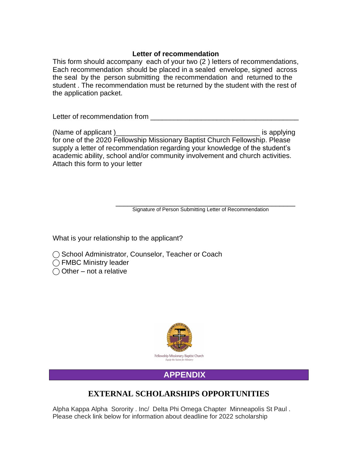#### **Letter of recommendation**

This form should accompany each of your two (2 ) letters of recommendations, Each recommendation should be placed in a sealed envelope, signed across the seal by the person submitting the recommendation and returned to the student . The recommendation must be returned by the student with the rest of the application packet.

Letter of recommendation from

(Name of applicant )  $\blacksquare$ for one of the 2020 Fellowship Missionary Baptist Church Fellowship. Please supply a letter of recommendation regarding your knowledge of the student's academic ability, school and/or community involvement and church activities. Attach this form to your letter

\_\_\_\_\_\_\_\_\_\_\_\_\_\_\_\_\_\_\_\_\_\_\_\_\_\_\_\_\_\_\_\_\_\_\_\_\_\_\_\_\_\_\_\_\_\_ Signature of Person Submitting Letter of Recommendation

What is your relationship to the applicant?

◯ School Administrator, Counselor, Teacher or Coach

◯ FMBC Ministry leader

 $\bigcirc$  Other – not a relative



## **APPENDIX**

## **EXTERNAL SCHOLARSHIPS OPPORTUNITIES**

Alpha Kappa Alpha Sorority . Inc/ Delta Phi Omega Chapter Minneapolis St Paul . Please check link below for information about deadline for 2022 scholarship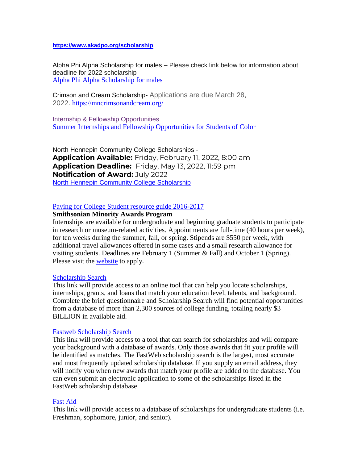#### **<https://www.akadpo.org/scholarship>**

Alpha Phi Alpha Scholarship for males – Please check link below for information about deadline for 2022 scholarship [Alpha Phi Alpha Scholarship for males](https://trianglecf.org/award/alpha-phi-alpha-african-american-male-scholarship/) 

Crimson and Cream Scholarship- Applications are due March 28, 2022. <https://mncrimsonandcream.org/>

Internship & Fellowship Opportunities [Summer Internships and Fellowship Opportunities for Students of Color](http://www.shiloh-bc.org/DocumentCenter/View/702)

North Hennepin Community College Scholarships - **Application Available:** Friday, February 11, 2022, 8:00 am **Application Deadline:** Friday, May 13, 2022, 11:59 pm **Notification of Award:** July 2022 [North Hennepin Community College Scholarship](https://nhcc.edu/scholarships?fbclid=IwAR0v3DSU2gOppgSAui6legIsH4PxV32JqoHUPXwUQI98UnyUssh1fNZNKl8)

#### [Paying for College Student resource guide 2016-2017](http://roybal-allard.house.gov/uploadedfiles/student_resource_guide.pdf)

#### **Smithsonian Minority Awards Program**

Internships are available for undergraduate and beginning graduate students to participate in research or museum-related activities. Appointments are full-time (40 hours per week), for ten weeks during the summer, fall, or spring. Stipends are \$550 per week, with additional travel allowances offered in some cases and a small research allowance for visiting students. Deadlines are February 1 (Summer & Fall) and October 1 (Spring). Please visit the [website](http://www.si.edu/ofg/Applications/MIP/MIPapp.htm) to apply.

#### [Scholarship Search](http://apps.collegeboard.com/cbsearch_ss/welcome.jsp)

This link will provide access to an online tool that can help you locate scholarships, internships, grants, and loans that match your education level, talents, and background. Complete the brief questionnaire and Scholarship Search will find potential opportunities from a database of more than 2,300 sources of college funding, totaling nearly \$3 BILLION in available aid.

#### [Fastweb Scholarship Search](http://www.fastweb.com/)

This link will provide access to a tool that can search for scholarships and will compare your background with a database of awards. Only those awards that fit your profile will be identified as matches. The FastWeb scholarship search is the largest, most accurate and most frequently updated scholarship database. If you supply an email address, they will notify you when new awards that match your profile are added to the database. You can even submit an electronic application to some of the scholarships listed in the FastWeb scholarship database.

#### [Fast Aid](http://www.fastaid.com/)

This link will provide access to a database of scholarships for undergraduate students (i.e. Freshman, sophomore, junior, and senior).